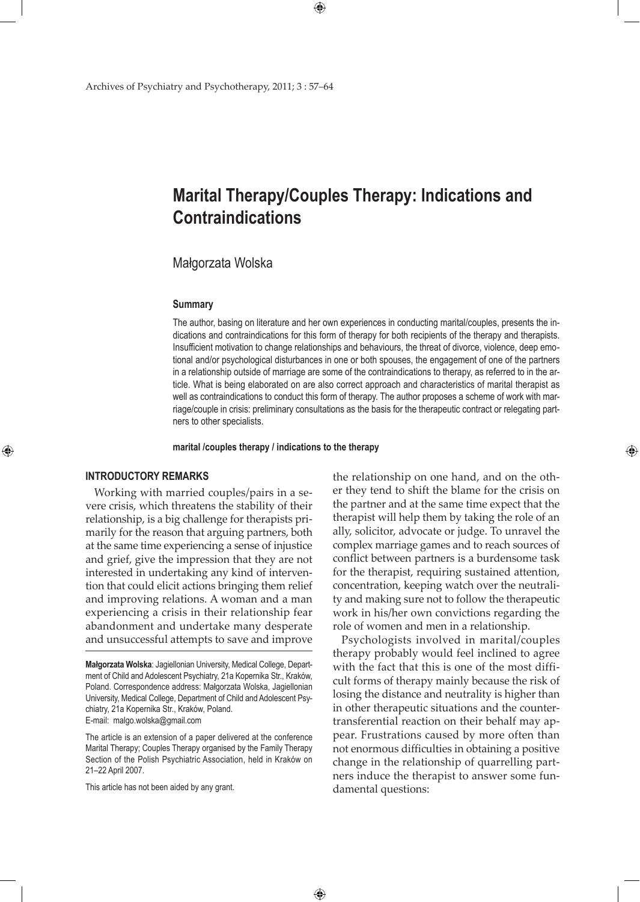# **Marital Therapy/Couples Therapy: Indications and Contraindications**

 $\bigoplus$ 

# Małgorzata Wolska

#### **Summary**

The author, basing on literature and her own experiences in conducting marital/couples, presents the indications and contraindications for this form of therapy for both recipients of the therapy and therapists. Insufficient motivation to change relationships and behaviours, the threat of divorce, violence, deep emotional and/or psychological disturbances in one or both spouses, the engagement of one of the partners in a relationship outside of marriage are some of the contraindications to therapy, as referred to in the article. What is being elaborated on are also correct approach and characteristics of marital therapist as well as contraindications to conduct this form of therapy. The author proposes a scheme of work with marriage/couple in crisis: preliminary consultations as the basis for the therapeutic contract or relegating partners to other specialists.

**marital /couples therapy / indications to the therapy**

 $\bigoplus$ 

# **INTRODUCTORY REMARKS**

⊕

Working with married couples/pairs in a severe crisis, which threatens the stability of their relationship, is a big challenge for therapists primarily for the reason that arguing partners, both at the same time experiencing a sense of injustice and grief, give the impression that they are not interested in undertaking any kind of intervention that could elicit actions bringing them relief and improving relations. A woman and a man experiencing a crisis in their relationship fear abandonment and undertake many desperate and unsuccessful attempts to save and improve

The article is an extension of a paper delivered at the conference Marital Therapy; Couples Therapy organised by the Family Therapy Section of the Polish Psychiatric Association, held in Kraków on 21–22 April 2007.

This article has not been aided by any grant.

the relationship on one hand, and on the other they tend to shift the blame for the crisis on the partner and at the same time expect that the therapist will help them by taking the role of an ally, solicitor, advocate or judge. To unravel the complex marriage games and to reach sources of conflict between partners is a burdensome task for the therapist, requiring sustained attention, concentration, keeping watch over the neutrality and making sure not to follow the therapeutic work in his/her own convictions regarding the role of women and men in a relationship.

⊕

Psychologists involved in marital/couples therapy probably would feel inclined to agree with the fact that this is one of the most difficult forms of therapy mainly because the risk of losing the distance and neutrality is higher than in other therapeutic situations and the countertransferential reaction on their behalf may appear. Frustrations caused by more often than not enormous difficulties in obtaining a positive change in the relationship of quarrelling partners induce the therapist to answer some fundamental questions:

**Małgorzata Wolska**: Jagiellonian University, Medical College, Department of Child and Adolescent Psychiatry, 21a Kopernika Str., Kraków, Poland. Correspondence address: Małgorzata Wolska, Jagiellonian University, Medical College, Department of Child and Adolescent Psychiatry, 21a Kopernika Str., Kraków, Poland. E-mail: malgo.wolska@gmail.com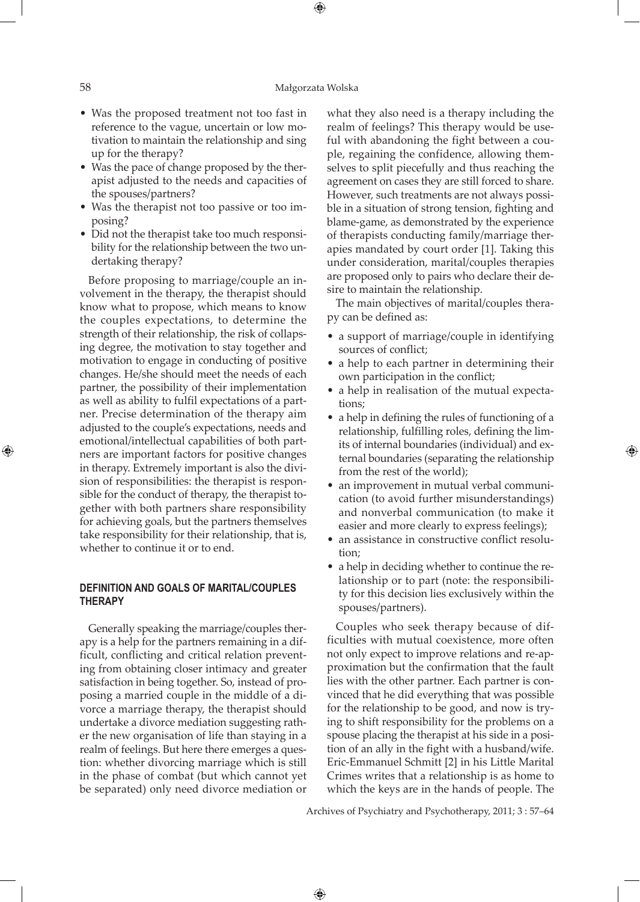### 58 Małgorzata Wolska

⊕

- Was the proposed treatment not too fast in reference to the vague, uncertain or low motivation to maintain the relationship and sing up for the therapy?
- Was the pace of change proposed by the therapist adjusted to the needs and capacities of the spouses/partners?
- Was the therapist not too passive or too imposing?
- Did not the therapist take too much responsibility for the relationship between the two undertaking therapy?

Before proposing to marriage/couple an involvement in the therapy, the therapist should know what to propose, which means to know the couples expectations, to determine the strength of their relationship, the risk of collapsing degree, the motivation to stay together and motivation to engage in conducting of positive changes. He/she should meet the needs of each partner, the possibility of their implementation as well as ability to fulfil expectations of a partner. Precise determination of the therapy aim adjusted to the couple's expectations, needs and emotional/intellectual capabilities of both partners are important factors for positive changes in therapy. Extremely important is also the division of responsibilities: the therapist is responsible for the conduct of therapy, the therapist together with both partners share responsibility for achieving goals, but the partners themselves take responsibility for their relationship, that is, whether to continue it or to end.

## **DEFINITION AND GOALS OF MARITAL/COUPLES THERAPY**

Generally speaking the marriage/couples therapy is a help for the partners remaining in a difficult, conflicting and critical relation preventing from obtaining closer intimacy and greater satisfaction in being together. So, instead of proposing a married couple in the middle of a divorce a marriage therapy, the therapist should undertake a divorce mediation suggesting rather the new organisation of life than staying in a realm of feelings. But here there emerges a question: whether divorcing marriage which is still in the phase of combat (but which cannot yet be separated) only need divorce mediation or

what they also need is a therapy including the realm of feelings? This therapy would be useful with abandoning the fight between a couple, regaining the confidence, allowing themselves to split piecefully and thus reaching the agreement on cases they are still forced to share. However, such treatments are not always possible in a situation of strong tension, fighting and blame-game, as demonstrated by the experience of therapists conducting family/marriage therapies mandated by court order [1]. Taking this under consideration, marital/couples therapies are proposed only to pairs who declare their desire to maintain the relationship.

The main objectives of marital/couples therapy can be defined as:

- a support of marriage/couple in identifying sources of conflict;
- a help to each partner in determining their own participation in the conflict;
- a help in realisation of the mutual expectations;
- a help in defining the rules of functioning of a relationship, fulfilling roles, defining the limits of internal boundaries (individual) and external boundaries (separating the relationship from the rest of the world);

⊕

- an improvement in mutual verbal communication (to avoid further misunderstandings) and nonverbal communication (to make it easier and more clearly to express feelings);
- $\bullet\,$  an assistance in constructive conflict resolution;
- a help in deciding whether to continue the relationship or to part (note: the responsibility for this decision lies exclusively within the spouses/partners).

Couples who seek therapy because of difficulties with mutual coexistence, more often not only expect to improve relations and re-approximation but the confirmation that the fault lies with the other partner. Each partner is convinced that he did everything that was possible for the relationship to be good, and now is trying to shift responsibility for the problems on a spouse placing the therapist at his side in a position of an ally in the fight with a husband/wife. Eric-Emmanuel Schmitt [2] in his Little Marital Crimes writes that a relationship is as home to which the keys are in the hands of people. The

Archives of Psychiatry and Psychotherapy, 2011; 3 : 57–64

 $\bigoplus$ 

⊕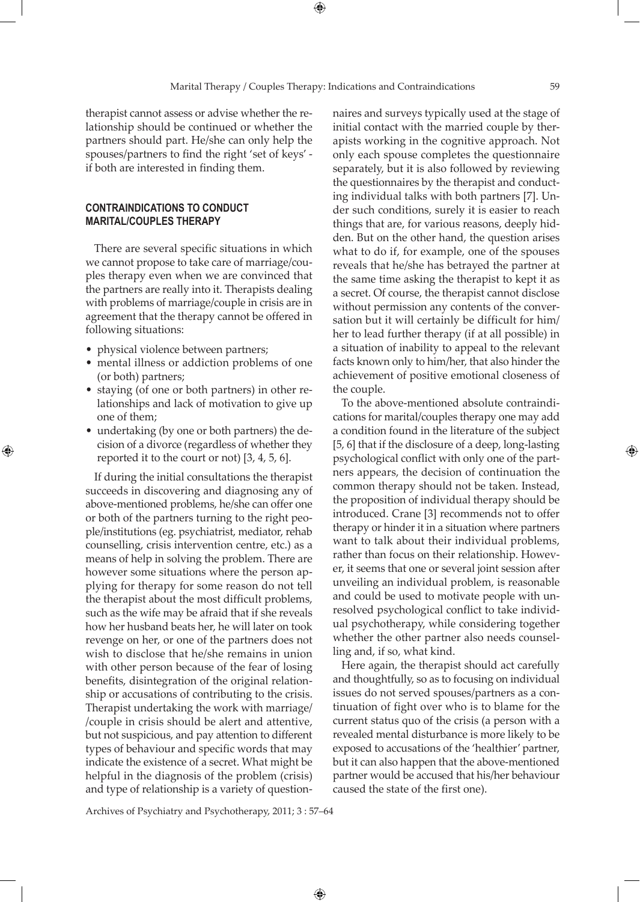⊕

therapist cannot assess or advise whether the relationship should be continued or whether the partners should part. He/she can only help the spouses/partners to find the right 'set of keys' if both are interested in finding them.

## **CONTRAINDICATIONS TO CONDUCT MARITAL/COUPLES THERAPY**

There are several specific situations in which we cannot propose to take care of marriage/couples therapy even when we are convinced that the partners are really into it. Therapists dealing with problems of marriage/couple in crisis are in agreement that the therapy cannot be offered in following situations:

• physical violence between partners;

⊕

- mental illness or addiction problems of one (or both) partners;
- staying (of one or both partners) in other relationships and lack of motivation to give up one of them;
- undertaking (by one or both partners) the decision of a divorce (regardless of whether they reported it to the court or not) [3, 4, 5, 6].

If during the initial consultations the therapist succeeds in discovering and diagnosing any of above-mentioned problems, he/she can offer one or both of the partners turning to the right people/institutions (eg. psychiatrist, mediator, rehab counselling, crisis intervention centre, etc.) as a means of help in solving the problem. There are however some situations where the person applying for therapy for some reason do not tell the therapist about the most difficult problems, such as the wife may be afraid that if she reveals how her husband beats her, he will later on took revenge on her, or one of the partners does not wish to disclose that he/she remains in union with other person because of the fear of losing benefits, disintegration of the original relationship or accusations of contributing to the crisis. Therapist undertaking the work with marriage/ /couple in crisis should be alert and attentive, but not suspicious, and pay attention to different types of behaviour and specific words that may indicate the existence of a secret. What might be helpful in the diagnosis of the problem (crisis) and type of relationship is a variety of questionnaires and surveys typically used at the stage of initial contact with the married couple by therapists working in the cognitive approach. Not only each spouse completes the questionnaire separately, but it is also followed by reviewing the questionnaires by the therapist and conducting individual talks with both partners [7]. Under such conditions, surely it is easier to reach things that are, for various reasons, deeply hidden. But on the other hand, the question arises what to do if, for example, one of the spouses reveals that he/she has betrayed the partner at the same time asking the therapist to kept it as a secret. Of course, the therapist cannot disclose without permission any contents of the conversation but it will certainly be difficult for him/ her to lead further therapy (if at all possible) in a situation of inability to appeal to the relevant facts known only to him/her, that also hinder the achievement of positive emotional closeness of the couple.

To the above-mentioned absolute contraindications for marital/couples therapy one may add a condition found in the literature of the subject [5, 6] that if the disclosure of a deep, long-lasting psychological conflict with only one of the partners appears, the decision of continuation the common therapy should not be taken. Instead, the proposition of individual therapy should be introduced. Crane [3] recommends not to offer therapy or hinder it in a situation where partners want to talk about their individual problems, rather than focus on their relationship. However, it seems that one or several joint session after unveiling an individual problem, is reasonable and could be used to motivate people with unresolved psychological conflict to take individual psychotherapy, while considering together whether the other partner also needs counselling and, if so, what kind.

Here again, the therapist should act carefully and thoughtfully, so as to focusing on individual issues do not served spouses/partners as a continuation of fight over who is to blame for the current status quo of the crisis (a person with a revealed mental disturbance is more likely to be exposed to accusations of the 'healthier' partner, but it can also happen that the above-mentioned partner would be accused that his/her behaviour caused the state of the first one).

Archives of Psychiatry and Psychotherapy, 2011; 3 : 57–64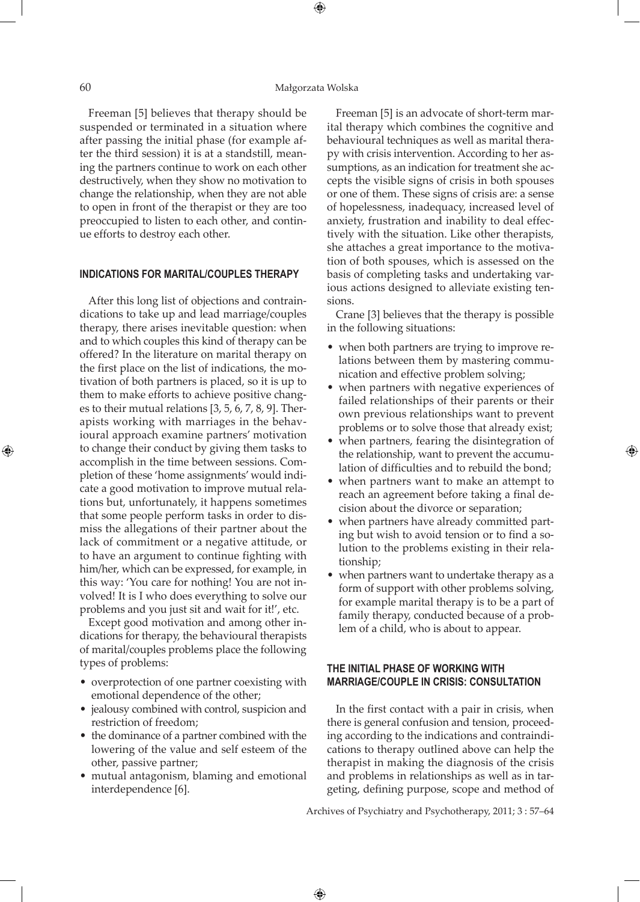### 60 Małgorzata Wolska

⊕

Freeman [5] believes that therapy should be suspended or terminated in a situation where after passing the initial phase (for example after the third session) it is at a standstill, meaning the partners continue to work on each other destructively, when they show no motivation to change the relationship, when they are not able to open in front of the therapist or they are too preoccupied to listen to each other, and continue efforts to destroy each other.

### **INDICATIONS FOR MARITAL/COUPLES THERAPY**

After this long list of objections and contraindications to take up and lead marriage/couples therapy, there arises inevitable question: when and to which couples this kind of therapy can be offered? In the literature on marital therapy on the first place on the list of indications, the motivation of both partners is placed, so it is up to them to make efforts to achieve positive changes to their mutual relations [3, 5, 6, 7, 8, 9]. Therapists working with marriages in the behavioural approach examine partners' motivation to change their conduct by giving them tasks to accomplish in the time between sessions. Completion of these 'home assignments' would indicate a good motivation to improve mutual relations but, unfortunately, it happens sometimes that some people perform tasks in order to dismiss the allegations of their partner about the lack of commitment or a negative attitude, or to have an argument to continue fighting with him/her, which can be expressed, for example, in this way: 'You care for nothing! You are not involved! It is I who does everything to solve our problems and you just sit and wait for it!', etc.

Except good motivation and among other indications for therapy, the behavioural therapists of marital/couples problems place the following types of problems:

- overprotection of one partner coexisting with emotional dependence of the other;
- jealousy combined with control, suspicion and restriction of freedom;
- the dominance of a partner combined with the lowering of the value and self esteem of the other, passive partner;
- mutual antagonism, blaming and emotional interdependence [6].

Freeman [5] is an advocate of short-term marital therapy which combines the cognitive and behavioural techniques as well as marital therapy with crisis intervention. According to her assumptions, as an indication for treatment she accepts the visible signs of crisis in both spouses or one of them. These signs of crisis are: a sense of hopelessness, inadequacy, increased level of anxiety, frustration and inability to deal effectively with the situation. Like other therapists, she attaches a great importance to the motivation of both spouses, which is assessed on the basis of completing tasks and undertaking various actions designed to alleviate existing tensions.

Crane [3] believes that the therapy is possible in the following situations:

- when both partners are trying to improve relations between them by mastering communication and effective problem solving;
- when partners with negative experiences of failed relationships of their parents or their own previous relationships want to prevent problems or to solve those that already exist;
- when partners, fearing the disintegration of the relationship, want to prevent the accumulation of difficulties and to rebuild the bond;

⊕

- when partners want to make an attempt to reach an agreement before taking a final decision about the divorce or separation;
- when partners have already committed parting but wish to avoid tension or to find a solution to the problems existing in their relationship;
- when partners want to undertake therapy as a form of support with other problems solving, for example marital therapy is to be a part of family therapy, conducted because of a problem of a child, who is about to appear.

# **THE INITIAL PHASE OF WORKING WITH MARRIAGE/COUPLE IN CRISIS: CONSULTATION**

In the first contact with a pair in crisis, when there is general confusion and tension, proceeding according to the indications and contraindications to therapy outlined above can help the therapist in making the diagnosis of the crisis and problems in relationships as well as in targeting, defining purpose, scope and method of

Archives of Psychiatry and Psychotherapy, 2011; 3 : 57–64

 $\bigoplus$ 

⊕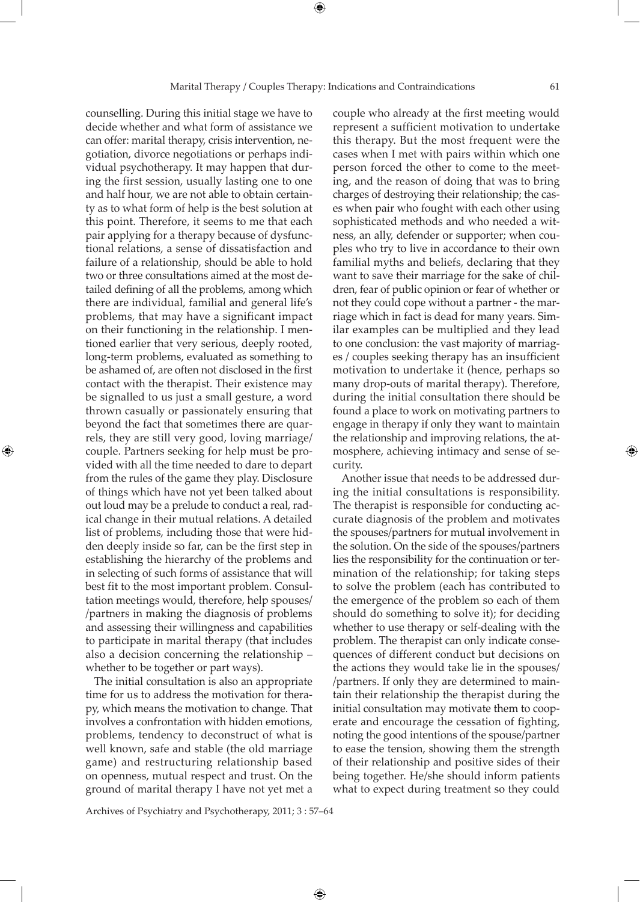counselling. During this initial stage we have to decide whether and what form of assistance we can offer: marital therapy, crisis intervention, negotiation, divorce negotiations or perhaps individual psychotherapy. It may happen that during the first session, usually lasting one to one and half hour, we are not able to obtain certainty as to what form of help is the best solution at this point. Therefore, it seems to me that each pair applying for a therapy because of dysfunctional relations, a sense of dissatisfaction and failure of a relationship, should be able to hold two or three consultations aimed at the most detailed defining of all the problems, among which there are individual, familial and general life's problems, that may have a significant impact on their functioning in the relationship. I mentioned earlier that very serious, deeply rooted, long-term problems, evaluated as something to be ashamed of, are often not disclosed in the first contact with the therapist. Their existence may be signalled to us just a small gesture, a word thrown casually or passionately ensuring that beyond the fact that sometimes there are quarrels, they are still very good, loving marriage/ couple. Partners seeking for help must be provided with all the time needed to dare to depart from the rules of the game they play. Disclosure of things which have not yet been talked about out loud may be a prelude to conduct a real, radical change in their mutual relations. A detailed list of problems, including those that were hidden deeply inside so far, can be the first step in establishing the hierarchy of the problems and in selecting of such forms of assistance that will best fit to the most important problem. Consultation meetings would, therefore, help spouses/ /partners in making the diagnosis of problems and assessing their willingness and capabilities to participate in marital therapy (that includes also a decision concerning the relationship – whether to be together or part ways).

⊕

The initial consultation is also an appropriate time for us to address the motivation for therapy, which means the motivation to change. That involves a confrontation with hidden emotions, problems, tendency to deconstruct of what is well known, safe and stable (the old marriage game) and restructuring relationship based on openness, mutual respect and trust. On the ground of marital therapy I have not yet met a

couple who already at the first meeting would represent a sufficient motivation to undertake this therapy. But the most frequent were the cases when I met with pairs within which one person forced the other to come to the meeting, and the reason of doing that was to bring charges of destroying their relationship; the cases when pair who fought with each other using sophisticated methods and who needed a witness, an ally, defender or supporter; when couples who try to live in accordance to their own familial myths and beliefs, declaring that they want to save their marriage for the sake of children, fear of public opinion or fear of whether or not they could cope without a partner - the marriage which in fact is dead for many years. Similar examples can be multiplied and they lead to one conclusion: the vast majority of marriages / couples seeking therapy has an insufficient motivation to undertake it (hence, perhaps so many drop-outs of marital therapy). Therefore, during the initial consultation there should be found a place to work on motivating partners to engage in therapy if only they want to maintain the relationship and improving relations, the atmosphere, achieving intimacy and sense of security.

Another issue that needs to be addressed during the initial consultations is responsibility. The therapist is responsible for conducting accurate diagnosis of the problem and motivates the spouses/partners for mutual involvement in the solution. On the side of the spouses/partners lies the responsibility for the continuation or termination of the relationship; for taking steps to solve the problem (each has contributed to the emergence of the problem so each of them should do something to solve it); for deciding whether to use therapy or self-dealing with the problem. The therapist can only indicate consequences of different conduct but decisions on the actions they would take lie in the spouses/ /partners. If only they are determined to maintain their relationship the therapist during the initial consultation may motivate them to cooperate and encourage the cessation of fighting, noting the good intentions of the spouse/partner to ease the tension, showing them the strength of their relationship and positive sides of their being together. He/she should inform patients what to expect during treatment so they could

Archives of Psychiatry and Psychotherapy, 2011; 3 : 57–64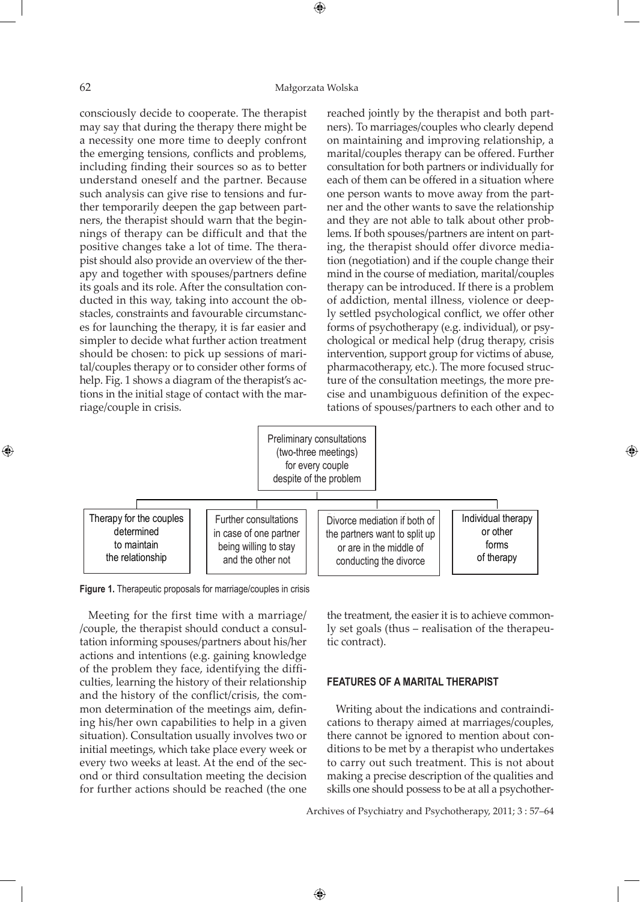### 62 Małgorzata Wolska

 $\bigoplus$ 

consciously decide to cooperate. The therapist may say that during the therapy there might be a necessity one more time to deeply confront the emerging tensions, conflicts and problems, including finding their sources so as to better understand oneself and the partner. Because such analysis can give rise to tensions and further temporarily deepen the gap between partners, the therapist should warn that the beginnings of therapy can be difficult and that the positive changes take a lot of time. The therapist should also provide an overview of the therapy and together with spouses/partners define its goals and its role. After the consultation conducted in this way, taking into account the obstacles, constraints and favourable circumstances for launching the therapy, it is far easier and simpler to decide what further action treatment should be chosen: to pick up sessions of marital/couples therapy or to consider other forms of help. Fig. 1 shows a diagram of the therapist's actions in the initial stage of contact with the marriage/couple in crisis.

reached jointly by the therapist and both partners). To marriages/couples who clearly depend on maintaining and improving relationship, a marital/couples therapy can be offered. Further consultation for both partners or individually for each of them can be offered in a situation where one person wants to move away from the partner and the other wants to save the relationship and they are not able to talk about other problems. If both spouses/partners are intent on parting, the therapist should offer divorce mediation (negotiation) and if the couple change their mind in the course of mediation, marital/couples therapy can be introduced. If there is a problem of addiction, mental illness, violence or deeply settled psychological conflict, we offer other forms of psychotherapy (e.g. individual), or psychological or medical help (drug therapy, crisis intervention, support group for victims of abuse, pharmacotherapy, etc.). The more focused structure of the consultation meetings, the more precise and unambiguous definition of the expectations of spouses/partners to each other and to



 $\bigoplus$ 

**Figure 1.** Therapeutic proposals for marriage/couples in crisis

Meeting for the first time with a marriage/ /couple, the therapist should conduct a consultation informing spouses/partners about his/her actions and intentions (e.g. gaining knowledge of the problem they face, identifying the difficulties, learning the history of their relationship and the history of the conflict/crisis, the common determination of the meetings aim, defining his/her own capabilities to help in a given situation). Consultation usually involves two or initial meetings, which take place every week or every two weeks at least. At the end of the second or third consultation meeting the decision for further actions should be reached (the one

the treatment, the easier it is to achieve commonly set goals (thus – realisation of the therapeutic contract).

⊕

#### **FEATURES OF A MARITAL THERAPIST**

Writing about the indications and contraindications to therapy aimed at marriages/couples, there cannot be ignored to mention about conditions to be met by a therapist who undertakes to carry out such treatment. This is not about making a precise description of the qualities and skills one should possess to be at all a psychother-

Archives of Psychiatry and Psychotherapy, 2011; 3 : 57–64

⊕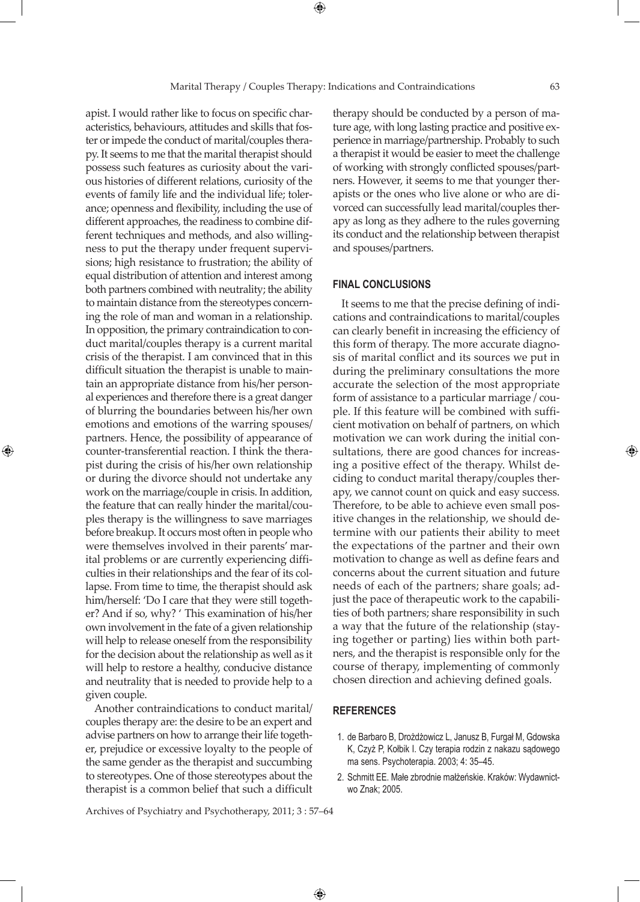apist. I would rather like to focus on specific characteristics, behaviours, attitudes and skills that foster or impede the conduct of marital/couples therapy. It seems to me that the marital therapist should possess such features as curiosity about the various histories of different relations, curiosity of the events of family life and the individual life; tolerance; openness and flexibility, including the use of different approaches, the readiness to combine different techniques and methods, and also willingness to put the therapy under frequent supervisions; high resistance to frustration; the ability of equal distribution of attention and interest among both partners combined with neutrality; the ability to maintain distance from the stereotypes concerning the role of man and woman in a relationship. In opposition, the primary contraindication to conduct marital/couples therapy is a current marital crisis of the therapist. I am convinced that in this difficult situation the therapist is unable to maintain an appropriate distance from his/her personal experiences and therefore there is a great danger of blurring the boundaries between his/her own emotions and emotions of the warring spouses/ partners. Hence, the possibility of appearance of counter-transferential reaction. I think the therapist during the crisis of his/her own relationship or during the divorce should not undertake any work on the marriage/couple in crisis. In addition, the feature that can really hinder the marital/couples therapy is the willingness to save marriages before breakup. It occurs most often in people who were themselves involved in their parents' marital problems or are currently experiencing difficulties in their relationships and the fear of its collapse. From time to time, the therapist should ask him/herself: 'Do I care that they were still together? And if so, why? ' This examination of his/her own involvement in the fate of a given relationship will help to release oneself from the responsibility for the decision about the relationship as well as it will help to restore a healthy, conducive distance and neutrality that is needed to provide help to a given couple.

⊕

Another contraindications to conduct marital/ couples therapy are: the desire to be an expert and advise partners on how to arrange their life together, prejudice or excessive loyalty to the people of the same gender as the therapist and succumbing to stereotypes. One of those stereotypes about the therapist is a common belief that such a difficult

therapy should be conducted by a person of mature age, with long lasting practice and positive experience in marriage/partnership. Probably to such a therapist it would be easier to meet the challenge of working with strongly conflicted spouses/partners. However, it seems to me that younger therapists or the ones who live alone or who are divorced can successfully lead marital/couples therapy as long as they adhere to the rules governing its conduct and the relationship between therapist and spouses/partners.

#### **FINAL CONCLUSIONS**

It seems to me that the precise defining of indications and contraindications to marital/couples can clearly benefit in increasing the efficiency of this form of therapy. The more accurate diagnosis of marital conflict and its sources we put in during the preliminary consultations the more accurate the selection of the most appropriate form of assistance to a particular marriage / couple. If this feature will be combined with sufficient motivation on behalf of partners, on which motivation we can work during the initial consultations, there are good chances for increasing a positive effect of the therapy. Whilst deciding to conduct marital therapy/couples therapy, we cannot count on quick and easy success. Therefore, to be able to achieve even small positive changes in the relationship, we should determine with our patients their ability to meet the expectations of the partner and their own motivation to change as well as define fears and concerns about the current situation and future needs of each of the partners; share goals; adjust the pace of therapeutic work to the capabilities of both partners; share responsibility in such a way that the future of the relationship (staying together or parting) lies within both partners, and the therapist is responsible only for the course of therapy, implementing of commonly chosen direction and achieving defined goals.

## **REFERENCES**

- 1. de Barbaro B, Drożdżowicz L, Janusz B, Furgał M, Gdowska K, Czyż P, Kołbik I. Czy terapia rodzin z nakazu sądowego ma sens. Psychoterapia. 2003; 4: 35–45.
- 2. Schmitt EE. Małe zbrodnie małżeńskie. Kraków: Wydawnictwo Znak; 2005.

Archives of Psychiatry and Psychotherapy, 2011; 3 : 57–64